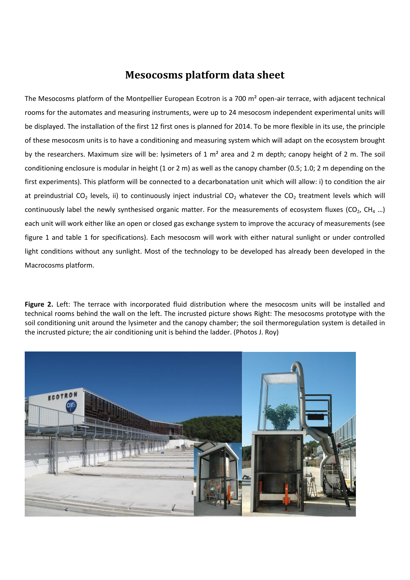## **Mesocosms platform data sheet**

The Mesocosms platform of the Montpellier European Ecotron is a 700 m<sup>2</sup> open-air terrace, with adjacent technical rooms for the automates and measuring instruments, were up to 24 mesocosm independent experimental units will be displayed. The installation of the first 12 first ones is planned for 2014. To be more flexible in its use, the principle of these mesocosm units is to have a conditioning and measuring system which will adapt on the ecosystem brought by the researchers. Maximum size will be: lysimeters of 1 m² area and 2 m depth; canopy height of 2 m. The soil conditioning enclosure is modular in height (1 or 2 m) as well as the canopy chamber (0.5; 1.0; 2 m depending on the first experiments). This platform will be connected to a decarbonatation unit which will allow: i) to condition the air at preindustrial CO<sub>2</sub> levels, ii) to continuously inject industrial CO<sub>2</sub> whatever the CO<sub>2</sub> treatment levels which will continuously label the newly synthesised organic matter. For the measurements of ecosystem fluxes ( $CO<sub>2</sub>$ ,  $CH<sub>4</sub>$ ...) each unit will work either like an open or closed gas exchange system to improve the accuracy of measurements (see figure 1 and table 1 for specifications). Each mesocosm will work with either natural sunlight or under controlled light conditions without any sunlight. Most of the technology to be developed has already been developed in the Macrocosms platform.

Figure 2. Left: The terrace with incorporated fluid distribution where the mesocosm units will be installed and technical rooms behind the wall on the left. The incrusted picture shows Right: The mesocosms prototype with the soil conditioning unit around the lysimeter and the canopy chamber; the soil thermoregulation system is detailed in the incrusted picture; the air conditioning unit is behind the ladder. (Photos J. Roy)